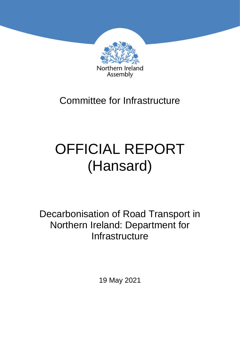

# Committee for Infrastructure

# OFFICIAL REPORT (Hansard)

Decarbonisation of Road Transport in Northern Ireland: Department for **Infrastructure** 

19 May 2021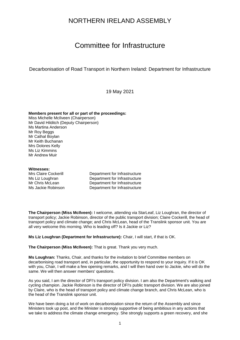### NORTHERN IRELAND ASSEMBLY

## Committee for Infrastructure

Decarbonisation of Road Transport in Northern Ireland: Department for Infrastructure

19 May 2021

#### **Members present for all or part of the proceedings:**

Miss Michelle McIlveen (Chairperson) Mr David Hilditch (Deputy Chairperson) Ms Martina Anderson Mr Roy Beggs Mr Cathal Boylan Mr Keith Buchanan Mrs Dolores Kelly Ms Liz Kimmins Mr Andrew Muir

#### **Witnesses:**

Mrs Claire Cockerill **Department for Infrastructure** Ms Liz Loughran **Department for Infrastructure**<br>Mr Chris McLean **Department for Infrastructure** Department for Infrastructure Ms Jackie Robinson Department for Infrastructure

**The Chairperson (Miss McIlveen):** I welcome, attending via StarLeaf, Liz Loughran, the director of transport policy; Jackie Robinson, director of the public transport division; Claire Cockerill, the head of transport policy and climate change; and Chris McLean, head of the Translink sponsor unit. You are all very welcome this morning. Who is leading off? Is it Jackie or Liz?

**Ms Liz Loughran (Department for Infrastructure):** Chair, I will start, if that is OK.

**The Chairperson (Miss McIlveen):** That is great. Thank you very much.

**Ms Loughran:** Thanks, Chair, and thanks for the invitation to brief Committee members on decarbonising road transport and, in particular, the opportunity to respond to your inquiry. If it is OK with you, Chair, I will make a few opening remarks, and I will then hand over to Jackie, who will do the same. We will then answer members' questions.

As you said, I am the director of DFI's transport policy division. I am also the Department's walking and cycling champion. Jackie Robinson is the director of DFI's public transport division. We are also joined by Claire, who is the head of transport policy and climate change branch, and Chris McLean, who is the head of the Translink sponsor unit.

We have been doing a lot of work on decarbonisation since the return of the Assembly and since Ministers took up post, and the Minister is strongly supportive of being ambitious in any actions that we take to address the climate change emergency. She strongly supports a green recovery, and she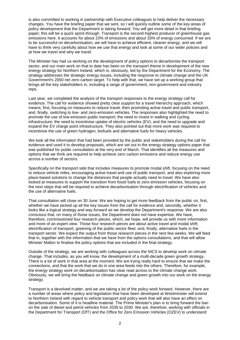is also committed to working in partnership with Executive colleagues to help deliver the necessary changes. You have the briefing paper that we sent, so I will quickly outline some of the key areas of policy development that the Department is taking forward. You will get more detail in that briefing paper; this will be a quick sprint through. Transport is the second-highest producer of greenhouse gas emissions here. It accounts for about 23% of emissions and about 33% of energy consumed. If we are to be successful on decarbonisation, we will have to achieve efficient, cleaner energy, and we will have to think very carefully about how we use that energy and look at some of our wider policies and at how we travel and why we travel.

The Minister has had us working on the development of policy options to decarbonise the transport sector, and our main work on that to date has been on the transport theme in development of the new energy strategy for Northern Ireland, which is, obviously, led by the Department for the Economy. The strategy addresses the strategic energy issues, including the response to climate change and the UK Government's 2050 net zero carbon target. To help with that, we have set up a working group that brings all the key stakeholders in, including a range of government, non-government and industry reps.

Last year, we completed the analysis of the transport responses to the energy strategy call for evidence. The call for evidence showed pretty clear support for a travel hierarchy approach, which means, first, focusing on measures to reduce travel, then promoting active travel and public transport, and, finally, switching to low- and zero-emission vehicles. The responses also highlighted the need to promote the use of low-emission public transport; the need to invest in walking and cycling infrastructure; the need to incentivise uptake of electric vehicles (EV); and the need to upgrade and expand the EV charge point infrastructure. They also pointed out that more work was required to incentivise the use of green hydrogen, biofuels and alternative fuels for heavy vehicles.

We took all the information that had been provided by the public and stakeholders during the call for evidence and used it to develop proposals, which are set out in the energy strategy options paper that was published for public consultation at the very end of March. That identifies all the measures and options that we think are required to help achieve zero carbon emissions and reduce energy use across a number of sectors.

Specifically on the transport side that includes measures to promote modal shift, focusing on the need to reduce vehicle miles, encouraging active travel and use of public transport, and also exploring more place-based solutions to change the distances that people actually need to travel. We have also looked at measures to support the transition from fossil fuels to zero-emission vehicles, focusing on the next steps that will be required to achieve decarbonisation through electrification of vehicles and the use of alternative fuels.

That consultation will close on 30 June. We are hoping to get more feedback from the public on, first, whether we have picked up all the key issues from the call for evidence and, secondly, whether it looks like a logical strategy and way forward as we develop the Department's response. We are also conscious that, on many of those issues, the Department does not have expertise. We have, therefore, commissioned four research pieces, which, we hope, will provide us with more information and more of an expert view. Those four research pieces are about active travel and modal shift; electrification of transport; greening of the public-sector fleet; and, finally, alternative fuels in the transport sector. We expect the output from those research pieces in the next few weeks. We will feed that in, together with the information that we have from the options consultations, and that will allow Minister Mallon to finalise the policy options that are included in the final strategy.

Outside of the strategy, we are working with colleagues across the NICS to develop work on climate change. That includes, as you will know, the development of a multi-decade green growth strategy. There is a lot of work in that area at the moment. We are trying really hard to ensure that we make the connections, and that the work that we do in one area feeds into the others. Therefore, for example, the energy strategy work on decarbonisation has clear read across to the climate change work. Obviously, we will bring the feedback on climate change and green growth into our work on the energy strategy.

Transport is a devolved matter, and we are taking a lot of the policy work forward. However, there are a number of areas where policy and legislation that have been developed at Westminster will extend to Northern Ireland with regard to vehicle transport and policy work that will also have an effect on decarbonisation. Some of it is headline material. The Prime Minister's plan is to bring forward the ban on the sale of diesel and petrol vehicles from 2035 to 2030. We are, therefore, working with officials in the Department for Transport (DfT) and the Office for Zero Emission Vehicles (OZEV) to understand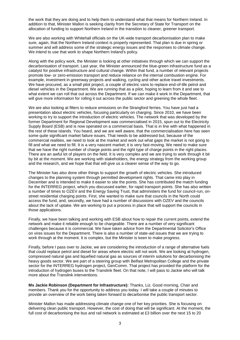the work that they are doing and to help them to understand what that means for Northern Ireland. In addition to that, Minister Mallon is seeking clarity from the Secretary of State for Transport on the allocation of funding to support Northern Ireland in the transition to cleaner, greener transport.

We are also working with Whitehall officials on the UK-wide transport decarbonisation plan to make sure, again, that the Northern Ireland context is properly represented. That plan is due in spring or summer and will address some of the strategic energy issues and the responses to climate change. We intend to use that work to shape Northern Ireland's policy.

Along with the policy work, the Minister is looking at other initiatives through which we can support the decarbonisation of transport. Last year, the Minister announced the blue-green infrastructure fund as a catalyst for positive infrastructure and cultural change. Within that fund, a number of relevant projects promote low- or zero-emission transport and reduce reliance on the internal combustion engine. For example, investment in greenway projects and walking, cycling and other active travel investments. We have procured, as a small pilot project, a couple of electric vans to replace end-of-life petrol and diesel vehicles in the Department. We are running that as a pilot, hoping to learn from it and see to what extent we can roll that out across the Department. If we can make it work in the Department, that will give more information for rolling it out across the public sector and greening the whole fleet.

We are also looking at filters to reduce emissions on the Strangford ferries. You have just had a presentation about electric vehicles, focusing particularly on charging. Since 2010, we have been working to try to support the introduction of electric vehicles. The network that was developed by the former Department for Regional Development was commercialised in 2015, spun out to the Electricity Supply Board (ESB) and is now operated on a commercial basis. That is in line with what happened in the rest of these islands. You heard, and we are well aware, that the commercialisation here has seen some quite significant market failure issues. That needs to be addressed but, because of the commercial realities, we need to look at the market and work out what gaps the market is not going to fill and what we need to fill. It is a very nascent market; it is very fast-moving. We need to make sure that we have the right number of charge points and the right type of charge points in the right places. There are an awful lot of players on the field. It is very complex and we are trying to work through it bit by bit at the moment. We are working with stakeholders, the energy strategy from the working group and the research, and we hope that that will give us a clearer sense of the way to go.

The Minister has also done other things to support the growth of electric vehicles. She introduced changes to the planning system through permitted development rights. That came into play in December and is intended to make it easier to site the points. She has contributed the match funding for the INTERREG project, which you discussed earlier, for rapid transport points. She has also written a number of times to OZEV and the Energy Saving Trust, that administers the fund for council-run, onstreet residential charging points. First, she wanted to make sure that councils in the North could access the fund, and, secondly, we have had a number of discussions with OZEV and the councils about the lack of uptake. We are working to put a process in place that will support the councils in those applications.

Finally, we have been talking and working with ESB about how to repair the current points, extend the network and make it reliable enough to be chargeable. There are a number of very significant challenges because it is commercial. We have taken advice from the Departmental Solicitor's Office on vires issues for the Department. There is also a number of state-aid issues that we are trying to work through at the moment. It is complex, but the Minister is keen to make progress.

Finally, before I pass over to Jackie, we are considering the introduction of a range of alternative fuels that could replace petrol and diesel for areas where electric will not work. We are looking at hydrogen, compressed natural gas and liquefied natural gas as sources of interim solutions for decarbonising the heavy goods sector. We are part of a steering group with Belfast Metropolitan College and the private sector for the INTERREG hydrogen project, GenComm. That project has provided the platform for the introduction of hydrogen buses to the Translink fleet. On that note, I will pass to Jackie who will talk more about the Translink interventions.

**Ms Jackie Robinson (Department for Infrastructure):** Thanks, Liz. Good morning, Chair and members. Thank you for the opportunity to address you today. I will take a couple of minutes to provide an overview of the work being taken forward to decarbonise the public transport sector.

Minister Mallon has made addressing climate change one of her key priorities. She is focusing on delivering clean public transport. However, the cost of doing that will be significant. At the moment, the full cost of decarbonising the bus and rail network is estimated at £3 billion over the next 15 to 20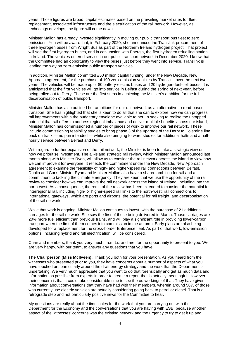years. Those figures are broad, capital estimates based on the prevailing market rates for fleet replacement, associated infrastructure and the electrification of the rail network. However, as technology develops, the figure will come down.

Minister Mallon has already invested significantly in moving our public transport bus fleet to zero emissions. You will be aware that, in February 2020, she announced the Translink procurement of three hydrogen buses from Wright Bus as part of the Northern Ireland hydrogen project. That project will see the first hydrogen buses, and in conjunction with Energia, the first hydrogen refuelling station in Ireland. The vehicles entered service in our public transport network in December 2020. I know that the Committee had an opportunity to view the buses just before they went into service. Translink is leading the way on zero-emission public transport vehicles.

In addition, Minister Mallon committed £50 million capital funding, under the New Decade, New Approach agreement, for the purchase of 100 zero-emission vehicles by Translink over the next two years. The vehicles will be made up of 80 battery-electric buses and 20 hydrogen-fuel-cell buses. It is anticipated that the first vehicles will go into service in Belfast during the spring of next year, before being rolled out to Derry. These are the first steps in achieving the Minister's ambition for the full decarbonisation of public transport.

Minister Mallon has also outlined her ambitions for our rail network as an alternative to road-based transport. She has highlighted that she is keen to do all that she can to explore how we can progress rail improvements within the budgetary envelope available to her. In seeking to realise the untapped potential that rail offers to address regional imbalance and deliver multiple benefits across our island, Minister Mallon has commissioned a number of pieces of work to improve our rail network. These include commissioning feasibility studies to bring phase 3 of the upgrade of the Derry to Coleraine line back on track — no pun intended — while also bringing forward studies for additional halts and a halfhourly service between Belfast and Derry.

With regard to further expansion of the rail network, the Minister is keen to take a strategic view on how we prioritise investment. The all-island strategic rail review, which Minister Mallon announced last month along with Minister Ryan, will allow us to consider the rail network across the island to view how we can improve it for everyone. It reflects the commitment under the New Decade, New Approach agreement to examine the feasibility of high- and higher-speed rail connections between Belfast, Dublin and Cork. Minister Ryan and Minister Mallon also have a shared ambition for rail and a commitment to tackling the climate emergency. They are keen that we use the opportunity of the rail review to consider how we can improve the rail network across the island of Ireland, including into the north-west. As a consequence, the remit of the review has been extended to consider the potential for interregional rail, including high- or higher-speed rail links to the north-west; rail connections to international gateways, which are ports and airports; the potential for rail freight; and decarbonisation of the rail network.

While that work is ongoing, Minister Mallon continues to invest, with the purchase of 21 additional carriages for the rail network. She saw the first of those being delivered in March. Those carriages are 20% more fuel efficient than previous trains, and will play a significant role in providing lower-carbon transport when the first of them comes into commission in the autumn. Early plans are also being developed for a replacement for the cross-border Enterprise fleet. As part of that work, low-emission options, including hybrid and full electrification, will be considered.

Chair and members, thank you very much, from Liz and me, for the opportunity to present to you. We are very happy, with our team, to answer any questions that you have.

**The Chairperson (Miss McIlveen):** Thank you both for your presentation. As you heard from the witnesses who presented prior to you, they have concerns about a number of aspects of what you have touched on, particularly around the draft energy strategy and the work that the Department is undertaking. We very much appreciate that you want to do that forensically and get as much data and information as possible from experts in order to create a report that is actually meaningful. However, their concern is that it could take considerable time to see the outworkings of that. They have given information about conversations that they have had with their members, wherein around 58% of those who currently use electric vehicles are actually considering going back to petrol or diesel. That is a retrograde step and not particularly positive news for the Committee to hear.

My questions are really about the timescales for the work that you are carrying out with the Department for the Economy and the conversations that you are having with ESB, because another aspect of the witnesses' concerns was the existing network and the urgency to try to get it up and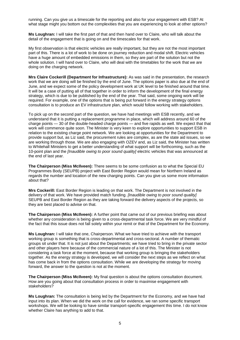running. Can you give us a timescale for the reporting and also for your engagement with ESB? At what stage might you bottom out the complexities that you are experiencing to look at other options?

**Ms Loughran:** I will take the first part of that and then hand over to Claire, who will talk about the detail of the engagement that is going on and the timescales for that work.

My first observation is that electric vehicles are really important, but they are not the most important part of this. There is a lot of work to be done on journey reduction and modal shift. Electric vehicles have a huge amount of embedded emissions in them, so they are part of the solution but not the whole solution. I will hand over to Claire, who will deal with the timetables for the work that we are doing on the charging network.

**Mrs Claire Cockerill (Department for Infrastructure):** As was said in the presentation, the research work that we are doing will be finished by the end of June. The options paper is also due at the end of June, and we expect some of the policy development work at UK level to be finished around that time. It will be a case of putting all of that together in order to inform the development of the final energy strategy, which is due to be published by the end of the year. That said, some ongoing work will be required. For example, one of the options that is being put forward in the energy strategy options consultation is to produce an EV infrastructure plan, which would follow working with stakeholders.

To pick up on the second part of the question, we have had meetings with ESB recently, and we understand that it is putting a replacement programme in place, which will address around 60 of the charge points — 30 of the double-headed charge points — and five rapids as well. We expect that that work will commence quite soon. The Minister is very keen to explore opportunities to support ESB in relation to the existing charge point network. We are looking at opportunities for the Department to provide support but, as Liz said, the procurement rules are complex, as are the state aid issues, so we are working through those. We are also engaging with OZEV and, as Liz said, the Minister has written to Whitehall Ministers to get a better understanding of what support will be forthcoming, such as the 10-point plan and the *[Inaudible owing to poor sound quality]* electric vehicles that was announced at the end of last year.

**The Chairperson (Miss McIlveen):** There seems to be some confusion as to what the Special EU Programmes Body (SEUPB) project with East Border Region would mean for Northern Ireland as regards the number and location of the new charging points. Can you give us some more information about that?

**Mrs Cockerill:** East Border Region is leading on that work. The Department is not involved in the delivery of that work. We have provided match funding. *[Inaudible owing to poor sound quality]*  SEUPB and East Border Region as they are taking forward the delivery aspects of the projects, so they are best placed to advise on that.

**The Chairperson (Miss McIlveen):** A further point that came out of our previous briefing was about whether any consideration is being given to a cross-departmental task force. We are very mindful of the fact that this issue does not fall solely within your remit or that of the Department for the Economy.

**Ms Loughran:** I will take that one, Chairperson. What we have tried to achieve with the transport working group is something that is cross-departmental and cross-sectoral. A number of thematic groups sit under that. It is not just about the Departments; we have tried to bring in the private sector and other players here because of the commercial nature of a lot of this. The Minister is not considering a task force at the moment, because that working group is bringing the stakeholders together. As the energy strategy is developed, we will consider the next steps as we reflect on what has come back in from the options consultation. While we are developing the strategy for moving forward, the answer to the question is not at the moment.

**The Chairperson (Miss McIlveen):** My final question is about the options consultation document. How are you going about that consultation process in order to maximise engagement with stakeholders?

**Ms Loughran:** The consultation is being led by the Department for the Economy, and we have had input into its plan. When we did the work on the call for evidence, we ran some specific transport workshops. We will be looking to have similar transport-specific engagement this time. I do not know whether Claire has anything to add to that.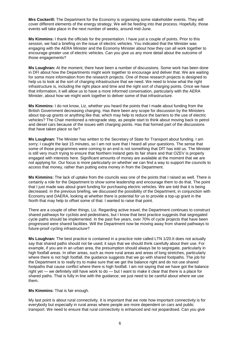**Mrs Cockerill:** The Department for the Economy is organising some stakeholder events. They will cover different elements of the energy strategy. We will be feeding into that process. Hopefully, those events will take place in the next number of weeks, around mid-June.

**Ms Kimmins:** I thank the officials for the presentation. I have just a couple of points. Prior to this session, we had a briefing on the issue of electric vehicles. You indicated that the Minister was engaging with the AERA Minister and the Economy Minister about how they can all work together to encourage greater use of electric vehicles. Can you give us any more detail about the outcome of those engagements?

**Ms Loughran:** At the moment, there have been a number of discussions. Some work has been done in DFI about how the Departments might work together to encourage and deliver that. We are waiting for some more information from the research projects. One of those research projects is designed to help us to look at the sort of charging infrastructure that we need. We need to know what the right infrastructure is, including the right place and time and the right sort of charging points. Once we have that information, it will allow us to have a more informed conversation, particularly with the AERA Minister, about how we might work together to deliver some of that infrastructure.

**Ms Kimmins:** I do not know, Liz, whether you heard the points that I made about funding from the British Government decreasing charging. Has there been any scope for discussion by the Ministers about top-up grants or anything like that, which may help to reduce the barriers to the use of electric vehicles? The Chair mentioned a retrograde step, as people start to think about moving back to petrol and diesel cars because of the issues with charging points. Has that formed part of the discussions that have taken place so far?

**Ms Loughran:** The Minister has written to the Secretary of State for Transport about funding. I am sorry; I caught the last 15 minutes, so I am not sure that I heard all your questions. The sense that some of those programmes were coming to an end is not something that DfT has told us. The Minister is still very much trying to ensure that Northern Ireland gets its fair share and that OZEV is properly engaged with interests here. Significant amounts of money are available at the moment that we are not applying for. Our focus is more particularly on whether we can find a way to support the councils to access that money, rather than putting extra money in from the Department.

**Ms Kimmins:** The lack of uptake from the councils was one of the points that I raised as well. There is certainly a role for the Department to show some leadership and encourage them to do that. The point that I just made was about grant funding for purchasing electric vehicles. We are told that it is being decreased. In the previous briefing, we discussed the possibility of the Department, in conjunction with Economy and DAERA, looking at whether there is potential for us to provide a top-up grant in the North that may help to offset some of that. I wanted to raise that point.

There are a couple of other things, Liz. Regarding active travel, the Department continues to construct shared pathways for cyclists and pedestrians, but I know that best practice suggests that segregated cycle paths should be implemented. In the past five years, over 70% of cycle projects that have been progressed were shared facilities. Will the Department now be moving away from shared pathways to future-proof cycling infrastructure?

**Ms Loughran:** The best practice is contained in a practice note called LTN 1/20.It does not actually say that shared paths should not be used; it says that we should think carefully about their use. For example, if you are in an urban area, the presumption should always be to segregate, particularly in high footfall areas. In other areas, such as more rural areas and areas of long stretches, particularly where there is not high footfall, the guidance suggests that we go with shared footpaths. The job for the Department is to really try to make sure that we get the balance right and do not use shared footpaths that cause conflict where there is high footfall. I am not saying that we have got the balance right yet — we definitely still have work to do — but I want to make it clear that there is a place for shared paths. That is fully in line with the guidance; we just need to be careful about where we use them.

#### **Ms Kimmins:** That is fair enough.

My last point is about rural connectivity. It is important that we note how important connectivity is for everybody but especially in rural areas where people are more dependent on cars and public transport. We need to ensure that rural connectivity is enhanced and not jeopardised. Can you give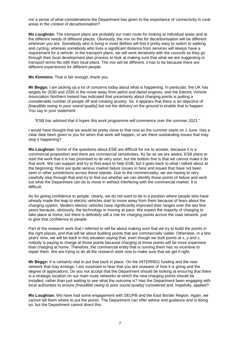me a sense of what considerations the Department has given to the importance of connectivity in rural areas in the context of decarbonisation?

**Ms Loughran:** The transport plans are probably our main route for looking at individual areas and at the different needs of different places. Obviously, the mix on this for decarbonisation will be different wherever you are. Somebody who is living in inner Belfast will find it pretty easy to switch to walking and cycling, whereas somebody who lives a significant distance from services will always have a requirement for a vehicle. In the transport plans, we will work iteratively with the councils as they go through their local development plan process to look at making sure that what we are suggesting in transport terms fits with their local plans. The mix will be different: it has to be because there are different experiences for different people.

#### **Ms Kimmins:** That is fair enough, thank you.

**Mr Beggs:** I am picking up a lot of concerns today about what is happening. In particular, the UK has targets for 2030 and 2035 in the move away from petrol and diesel engines, and the Electric Vehicle Association Northern Ireland has indicated that uncertainty about charging points is putting a considerable number of people off and creating anxiety. So, it appears that there is an objective of *[Inaudible owing to poor sound quality]* but not the delivery on the ground to enable that to happen. You say in your statement:

#### *"ESB has advised that it hopes this work programme will commence over the summer 2021."*

I would have thought that we would be pretty close to that now as the summer starts on 1 June. Has a clear date been given to you for when that work will happen, or are there outstanding issues that may stop it happening?

**Ms Loughran:** Some of the questions about ESB are difficult for me to answer, because it is a commercial proposition and there are commercial sensitivities. As far as we are aware, ESB plans to start the work that it is has promised to do very soon, but the bottom line is that we cannot make it do that work. We can support and try to find ways to help ESB, but it goes back to what I talked about at the beginning: there are quite serious market failure issues in here and issues that have not been seen in other jurisdictions across these islands. Due to the commerciality, we are having to very carefully step through that and try to find out whether we can identify those points of failure and work out what the Department can do to move in without interfering with the commercial market. It is difficult.

As for giving confidence to people, clearly, we do not want to be in a position where people who have already made the leap to electric vehicles start to move away from them because of fears about the charging system. Modern electric vehicles have significantly improved their ranges over the last few years because, obviously, the technology is moving at pace. We expect the majority of charging to take place at home, but there is definitely still a role for charging points across the road network, just to give that confidence to people.

Part of the research work that I referred to will be about making sure that we try to build the points in the right places, and that will be about building points that are commercially viable. Otherwise, in a few years' time, we will be back in this situation saying that, even though we built points at x, y and z, nobody is paying to charge at those points because charging at those points will be more expensive than charging at home. Therefore, the commercial entity that is running them has no incentive to repair them. We are trying to do all the research work now to make sure that we get it right.

**Mr Beggs:** It is certainly vital to put that back in place. On the INTERREG funding and the new network that may emerge, I am surprised to hear that you are unaware of how it is going and the degree of applications. Do you not accept that the Department should be looking at ensuring that there is a strategic location on our main route networks at which the new charging points should be installed, rather than just waiting to see what the outcome is? Has the Department been engaging with local authorities to ensure *[Inaudible owing to poor sound quality]* considered and, hopefully, applied?

**Ms Loughran:** We have had some engagement with SEUPB and the East Border Region. Again, we cannot tell them where to put the points. The Department can offer advice and guidance and is doing so, but the Department cannot direct this.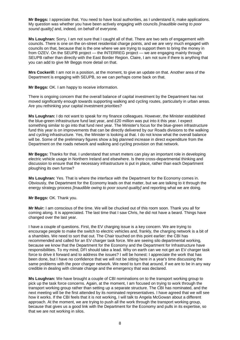**Mr Beggs:** I appreciate that. You need to have local authorities, as I understand it, make applications. My question was whether you have been actively engaging with councils *[Inaudible owing to poor sound quality]* and, indeed, on behalf of everyone.

**Ms Loughran:** Sorry, I am not sure that I caught all of that. There are two sets of engagement with councils. There is one on the on-street residential charge points, and we are very much engaged with councils on that, because that is the one where we are trying to support them to bring the money in from OZEV. On the SEUPB project — the INTERREG project — we are engaging mainly through SEUPB rather than directly with the East Border Region. Claire, I am not sure if there is anything that you can add to give Mr Beggs more detail on that.

**Mrs Cockerill:** I am not in a position, at the moment, to give an update on that. Another area of the Department is engaging with SEUPB, so we can perhaps come back on that.

**Mr Beggs:** OK. I am happy to receive information.

There is ongoing concern that the overall balance of capital investment by the Department has not moved significantly enough towards supporting walking and cycling routes, particularly in urban areas. Are you rethinking your capital investment priorities?

**Ms Loughran:** I do not want to speak for my finance colleagues. However, the Minister established the blue-green infrastructure fund last year, and £20 million was put into it this year. I expect something similar to go into that fund next year. The Minister's focus for the blue-green infrastructure fund this year is on improvements that can be directly delivered by our Roads divisions to the walking and cycling infrastructure. Yes, the Minister is looking at that. I do not know what the overall balance will be. Some of the preliminary figures show a big planned increase in direct expenditure from the Department on the roads network and walking and cycling provision on that network.

**Mr Beggs:** Thanks for that. I understand that smart meters can play an important role in developing electric vehicle usage in Northern Ireland and elsewhere. Is there cross-departmental thinking and discussion to ensure that the necessary infrastructure is put in place, rather than each Department ploughing its own furrow?

**Ms Loughran:** Yes. That is where the interface with the Department for the Economy comes in. Obviously, the Department for the Economy leads on that matter, but we are talking to it through the energy strategy process *[Inaudible owing to poor sound quality]* and reporting what we are doing.

**Mr Beggs:** OK. Thank you.

**Mr Muir:** I am conscious of the time. We will be chucked out of this room soon. Thank you all for coming along. It is appreciated. The last time that I saw Chris, he did not have a beard. Things have changed over the last year.

I have a couple of questions. First, the EV charging issue is a key concern. We are trying to encourage people to make the switch to electric vehicles and, frankly, the charging network is a bit of a shambles. We need to sort that out. The Chair touched on this point earlier: the CBI has recommended and called for an EV charger task force. We are seeing silo departmental working, because we know that the Department for the Economy and the Department for Infrastructure have responsibilities. To my mind, DFI should take a lead. Why on earth can we not get an EV charger task force to drive it forward and to address the issues? I will be honest: I appreciate the work that has been done, but I have no confidence that we will not be sitting here in a year's time discussing the same problems with the poor charger network. We need to turn that around, if we are to be in any way credible in dealing with climate change and the emergency that was declared.

**Ms Loughran:** We have brought a couple of CBI nominations on to the transport working group to pick up the task force concerns. Again, at the moment, I am focused on trying to work through the transport working group rather than setting up a separate structure. The CBI has nominated, and the next meeting will be the first attended by its nominated representatives. I have agreed that we will see how it works. If the CBI feels that it is not working, I will talk to Angela McGowan about a different approach. At the moment, we are trying to push all the work through the transport working group, because that gives us a good link with the Department for the Economy and pulls in its expertise, so that we are not working in silos.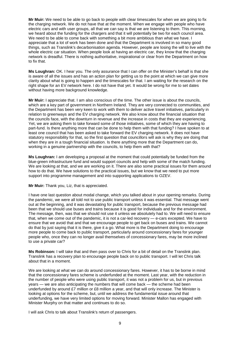**Mr Muir:** We need to be able to go back to people with clear timescales for when we are going to fix the charging network. We do not have that at the moment. When we engage with people who have electric cars and with user groups, all that we can say is that we are listening to them. This morning, we heard about the funding for the chargers and that it will potentially be two for each council area. We need to be able to come back with something a bit more ambitious than what we have. I appreciate that a lot of work has been done and that the Department is involved in so many good things, such as Translink's decarbonisation agenda. However, people are losing the will to live with the whole electric car situation. When people look at having an electric car, they know that the charging network is dreadful. There is nothing authoritative, inspirational or clear from the Department on how to fix that.

**Ms Loughran:** OK. I hear you. The only assurance that I can offer on the Minister's behalf is that she is aware of all the issues and has an action plan for getting us to the point at which we can give more clarity about what is going to happen and the timescales for that. I am waiting for the research on the right shape for an EV network here. I do not have that yet. It would be wrong for me to set dates without having more background knowledge.

**Mr Muir:** I appreciate that. I am also conscious of the time. The other issue is about the councils, which are a key part of government in Northern Ireland. They are very connected to communities, and the Department has been very keen to work with them to deliver active travel initiatives, particularly in relation to greenways and the EV charging network. We also know about the financial situation that the councils face, with the downturn in revenue and the increase in costs that they are experiencing. Yet, we are asking them to take forward some of those initiatives, some of which they are having to part-fund. Is there anything more that can be done to help them with that funding? I have spoken to at least one council that has been asked to take forward the EV charging network. It does not have statutory responsibility for that, so the first question that councillors will ask is why they are doing that when they are in a tough financial situation. Is there anything more that the Department can do, working in a genuine partnership with the councils, to help them with that?

**Ms Loughran:** I am developing a proposal at the moment that could potentially be funded from the blue-green infrastructure fund and would support councils and help with some of the match funding. We are looking at that, and we are working on it. There are also some practical issues for them around how to do that. We have solutions to the practical issues, but we know that we need to put more support into programme management and into supporting applications to OZEV.

**Mr Muir:** Thank you, Liz, that is appreciated.

I have one last question about modal change, which you talked about in your opening remarks. During the pandemic, we were all told not to use public transport unless it was essential. That message went out at the beginning, and it was devastating for public transport, because the previous message had been that we should use buses and trains because it is good for individuals and for the environment. The message, then, was that we should not use it unless we absolutely had to. We will need to ensure that, when we come out of the pandemic, it is not a car-led recovery — e-cars excepted. We have to ensure that we avoid that and that we encourage people to get back on buses and trains. We cannot do that by just saying that it is there, give it a go. What more is the Department doing to encourage more people to come back to public transport, particularly around concessionary fares for younger people who, once they can no longer avail themselves of concessionary fares, may be more inclined to use a private car?

**Ms Robinson:** I will take that and then pass over to Chris for a bit of detail on the Translink plan. Translink has a recovery plan to encourage people back on to public transport. I will let Chris talk about that in a moment.

We are looking at what we can do around concessionary fares. However, it has to be borne in mind that the concessionary fares scheme is underfunded at the moment. Last year, with the reduction in the number of people who were using public transport, it was not a problem for us, but in previous years — we are also anticipating the numbers that will come back — the scheme had been underfunded by around £7 million or £8 million a year, and that will only increase. The Minister is looking at options for the scheme, but, until we address the fundamental issue around that underfunding, we have very limited options for moving forward. Minister Mallon has engaged with Minister Murphy on that matter and continues to do so.

I will ask Chris to talk about Translink's return of passengers.